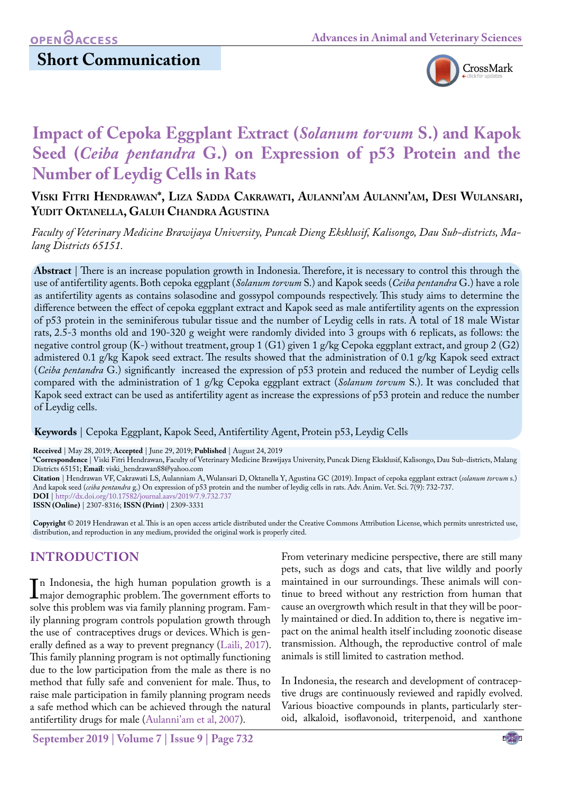# **Short Communication**



# **Impact of Cepoka Eggplant Extract (***Solanum torvum* **S.) and Kapok Seed (***Ceiba pentandra* **G.) on Expression of p53 Protein and the Number of Leydig Cells in Rats**

### **Viski Fitri Hendrawan\*, Liza Sadda Cakrawati, Aulanni'am Aulanni'am, Desi Wulansari, Yudit Oktanella, Galuh Chandra Agustina**

*Faculty of Veterinary Medicine Brawijaya University, Puncak Dieng Eksklusif, Kalisongo, Dau Sub-districts, Malang Districts 65151.*

**Abstract** | There is an increase population growth in Indonesia. Therefore, it is necessary to control this through the use of antifertility agents. Both cepoka eggplant (*Solanum torvum* S.) and Kapok seeds (*Ceiba pentandra* G.) have a role as antifertility agents as contains solasodine and gossypol compounds respectively. This study aims to determine the difference between the effect of cepoka eggplant extract and Kapok seed as male antifertility agents on the expression of p53 protein in the seminiferous tubular tissue and the number of Leydig cells in rats. A total of 18 male Wistar rats, 2.5-3 months old and 190-320 g weight were randomly divided into 3 groups with 6 replicats, as follows: the negative control group (K-) without treatment, group 1 (G1) given 1 g/kg Cepoka eggplant extract, and group 2 (G2) admistered 0.1 g/kg Kapok seed extract. The results showed that the administration of 0.1 g/kg Kapok seed extract (*Ceiba pentandra* G.) significantly increased the expression of p53 protein and reduced the number of Leydig cells compared with the administration of 1 g/kg Cepoka eggplant extract (*Solanum torvum* S.). It was concluded that Kapok seed extract can be used as antifertility agent as increase the expressions of p53 protein and reduce the number of Leydig cells.

**Keywords** | Cepoka Eggplant, Kapok Seed, Antifertility Agent, Protein p53, Leydig Cells

**Received** | May 28, 2019; **Accepted** | June 29, 2019; **Published** | August 24, 2019

**\*Correspondence** | Viski Fitri Hendrawan, Faculty of Veterinary Medicine Brawijaya University, Puncak Dieng Eksklusif, Kalisongo, Dau Sub-districts, Malang Districts 65151; **Email**: viski\_hendrawan88@yahoo.com

**Citation** | Hendrawan VF, Cakrawati LS, Aulanniam A, Wulansari D, Oktanella Y, Agustina GC (2019). Impact of cepoka eggplant extract (*solanum torvum* s.) And kapok seed (*ceiba pentandra* g.) On expression of p53 protein and the number of leydig cells in rats. Adv. Anim. Vet. Sci. 7(9): 732-737.

**DOI** | [http://dx.doi.org/10.17582/journal.aavs/2019](http://dx.doi.org/10.17582/journal.aavs/2019/7.9.732.737)/7.9.732.737

**ISSN (Online)** | 2307-8316; **ISSN (Print)** | 2309-3331

**Copyright** © 2019 Hendrawan et al. This is an open access article distributed under the Creative Commons Attribution License, which permits unrestricted use, distribution, and reproduction in any medium, provided the original work is properly cited.

# **INTRODUCTION**

In Indonesia, the high human population growth is a<br>Imajor demographic problem. The government efforts to<br>solve this problem was via family planning program Fammajor demographic problem. The government efforts to solve this problem was via family planning program. Family planning program controls population growth through the use of contraceptives drugs or devices. Which is generally defined as a way to prevent pregnancy ([Laili, 2017\)](#page-4-0). This family planning program is not optimally functioning due to the low participation from the male as there is no method that fully safe and convenient for male. Thus, to raise male participation in family planning program needs a safe method which can be achieved through the natural antifertility drugs for male (Aulanni'am et al, 2007).

From veterinary medicine perspective, there are still many pets, such as dogs and cats, that live wildly and poorly maintained in our surroundings. These animals will continue to breed without any restriction from human that cause an overgrowth which result in that they will be poorly maintained or died. In addition to, there is negative impact on the animal health itself including zoonotic disease transmission. Although, the reproductive control of male animals is still limited to castration method.

In Indonesia, the research and development of contraceptive drugs are continuously reviewed and rapidly evolved. Various bioactive compounds in plants, particularly steroid, alkaloid, isoflavonoid, triterpenoid, and xanthone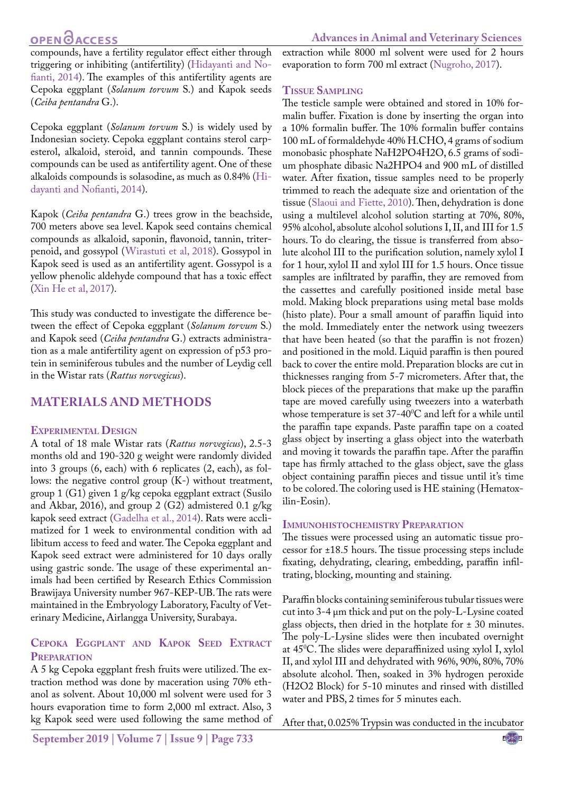# **OPEN OACCESS**

compounds, have a fertility regulator effect either through triggering or inhibiting (antifertility) ([Hidayanti and No](#page-4-1)[fianti, 2014](#page-4-1)). The examples of this antifertility agents are Cepoka eggplant (*Solanum torvum* S.) and Kapok seeds (*Ceiba pentandra* G.).

Cepoka eggplant (*Solanum torvum* S.) is widely used by Indonesian society. Cepoka eggplant contains sterol carpesterol, alkaloid, steroid, and tannin compounds. These compounds can be used as antifertility agent. One of these alkaloids compounds is solasodine, as much as 0.84% ([Hi](#page-4-1)[dayanti and Nofianti, 2014](#page-4-1)).

Kapok (*Ceiba pentandra* G.) trees grow in the beachside, 700 meters above sea level. Kapok seed contains chemical compounds as alkaloid, saponin, flavonoid, tannin, triterpenoid, and gossypol ([Wirastuti et al, 2018\)](#page-5-0). Gossypol in Kapok seed is used as an antifertility agent. Gossypol is a yellow phenolic aldehyde compound that has a toxic effect [\(Xin He et al, 2017\)](#page-5-1).

This study was conducted to investigate the difference between the effect of Cepoka eggplant (*Solanum torvum* S.) and Kapok seed (*Ceiba pentandra* G.) extracts administration as a male antifertility agent on expression of p53 protein in seminiferous tubules and the number of Leydig cell in the Wistar rats (*Rattus norvegicus*).

### **MATERIALS AND METHODS**

#### **Experimental Design**

A total of 18 male Wistar rats (*Rattus norvegicus*), 2.5-3 months old and 190-320 g weight were randomly divided into 3 groups (6, each) with 6 replicates (2, each), as follows: the negative control group (K-) without treatment, group 1 (G1) given 1 g/kg cepoka eggplant extract (Susilo and Akbar, 2016), and group 2 (G2) admistered 0.1 g/kg kapok seed extract [\(Gadelha et al., 2014](#page-4-2)). Rats were acclimatized for 1 week to environmental condition with ad libitum access to feed and water. The Cepoka eggplant and Kapok seed extract were administered for 10 days orally using gastric sonde. The usage of these experimental animals had been certified by Research Ethics Commission Brawijaya University number 967-KEP-UB. The rats were maintained in the Embryology Laboratory, Faculty of Veterinary Medicine, Airlangga University, Surabaya.

#### **Cepoka Eggplant and Kapok Seed Extract Preparation**

A 5 kg Cepoka eggplant fresh fruits were utilized. The extraction method was done by maceration using 70% ethanol as solvent. About 10,000 ml solvent were used for 3 hours evaporation time to form 2,000 ml extract. Also, 3 kg Kapok seed were used following the same method of extraction while 8000 ml solvent were used for 2 hours evaporation to form 700 ml extract [\(Nugroho, 2017\)](#page-5-2).

#### **Tissue Sampling**

The testicle sample were obtained and stored in 10% formalin buffer. Fixation is done by inserting the organ into a 10% formalin buffer. The 10% formalin buffer contains 100 mL of formaldehyde 40% H.CHO, 4 grams of sodium monobasic phosphate NaH2PO4H2O, 6.5 grams of sodium phosphate dibasic Na2HPO4 and 900 mL of distilled water. After fixation, tissue samples need to be properly trimmed to reach the adequate size and orientation of the tissue ([Slaoui and Fiette, 2010](#page-5-3)). Then, dehydration is done using a multilevel alcohol solution starting at 70%, 80%, 95% alcohol, absolute alcohol solutions I, II, and III for 1.5 hours. To do clearing, the tissue is transferred from absolute alcohol III to the purification solution, namely xylol I for 1 hour, xylol II and xylol III for 1.5 hours. Once tissue samples are infiltrated by paraffin, they are removed from the cassettes and carefully positioned inside metal base mold. Making block preparations using metal base molds (histo plate). Pour a small amount of paraffin liquid into the mold. Immediately enter the network using tweezers that have been heated (so that the paraffin is not frozen) and positioned in the mold. Liquid paraffin is then poured back to cover the entire mold. Preparation blocks are cut in thicknesses ranging from 5-7 micrometers. After that, the block pieces of the preparations that make up the paraffin tape are moved carefully using tweezers into a waterbath whose temperature is set  $37\text{-}40^{\circ}\text{C}$  and left for a while until the paraffin tape expands. Paste paraffin tape on a coated glass object by inserting a glass object into the waterbath and moving it towards the paraffin tape. After the paraffin tape has firmly attached to the glass object, save the glass object containing paraffin pieces and tissue until it's time to be colored. The coloring used is HE staining (Hematoxilin-Eosin).

#### **Immunohistochemistry Preparation**

The tissues were processed using an automatic tissue processor for ±18.5 hours. The tissue processing steps include fixating, dehydrating, clearing, embedding, paraffin infiltrating, blocking, mounting and staining.

Paraffin blocks containing seminiferous tubular tissues were cut into 3-4 μm thick and put on the poly-L-Lysine coated glass objects, then dried in the hotplate for ± 30 minutes. The poly-L-Lysine slides were then incubated overnight at 450 C. The slides were deparaffinized using xylol I, xylol II, and xylol III and dehydrated with 96%, 90%, 80%, 70% absolute alcohol. Then, soaked in 3% hydrogen peroxide (H2O2 Block) for 5-10 minutes and rinsed with distilled water and PBS, 2 times for 5 minutes each.

After that, 0.025% Trypsin was conducted in the incubator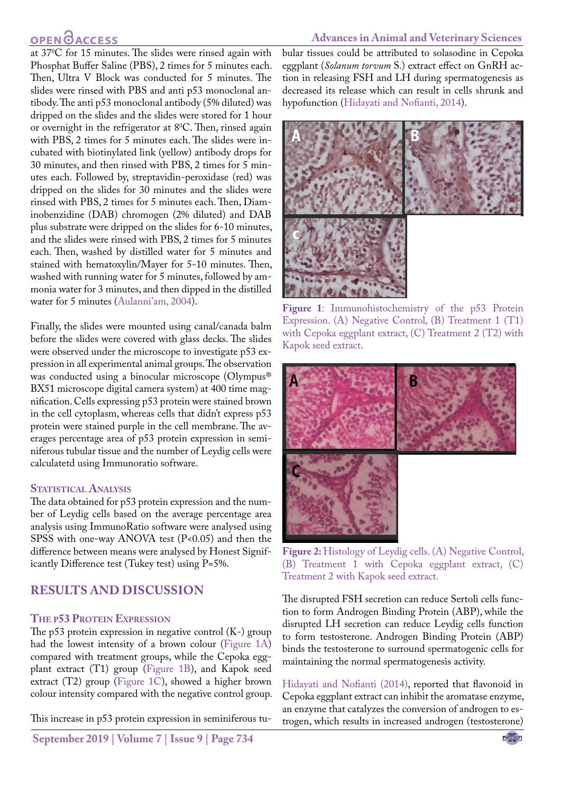# **OPEN GACCESS**

**Advances in Animal and Veterinary Sciences**

at 370 C for 15 minutes. The slides were rinsed again with Phosphat Buffer Saline (PBS), 2 times for 5 minutes each. Then, Ultra V Block was conducted for 5 minutes. The slides were rinsed with PBS and anti p53 monoclonal antibody. The anti p53 monoclonal antibody (5% diluted) was dripped on the slides and the slides were stored for 1 hour or overnight in the refrigerator at  $8^{\circ}$ C. Then, rinsed again with PBS, 2 times for 5 minutes each. The slides were incubated with biotinylated link (yellow) antibody drops for 30 minutes, and then rinsed with PBS, 2 times for 5 minutes each. Followed by, streptavidin-peroxidase (red) was dripped on the slides for 30 minutes and the slides were rinsed with PBS, 2 times for 5 minutes each. Then, Diaminobenzidine (DAB) chromogen (2% diluted) and DAB plus substrate were dripped on the slides for 6-10 minutes, and the slides were rinsed with PBS, 2 times for 5 minutes each. Then, washed by distilled water for 5 minutes and stained with hematoxylin/Mayer for 5-10 minutes. Then, washed with running water for 5 minutes, followed by ammonia water for 3 minutes, and then dipped in the distilled water for 5 minutes (Aulanni'am, 2004).

Finally, the slides were mounted using canal/canada balm before the slides were covered with glass decks. The slides were observed under the microscope to investigate p53 expression in all experimental animal groups. The observation was conducted using a binocular microscope (Olympus® BX51 microscope digital camera system) at 400 time magnification. Cells expressing p53 protein were stained brown in the cell cytoplasm, whereas cells that didn't express p53 protein were stained purple in the cell membrane. The averages percentage area of p53 protein expression in seminiferous tubular tissue and the number of Leydig cells were calculatetd using Immunoratio software.

#### **STATISTICAL ANALYSIS**

The data obtained for p53 protein expression and the number of Leydig cells based on the average percentage area analysis using ImmunoRatio software were analysed using SPSS with one-way ANOVA test  $(P<0.05)$  and then the difference between means were analysed by Honest Significantly Difference test (Tukey test) using P=5%.

### **RESULTS AND DISCUSSION**

#### **The p53 Protein Expression**

The p53 protein expression in negative control (K-) group had the lowest intensity of a brown colour ([Figure 1A\)](#page-2-0) compared with treatment groups, while the Cepoka eggplant extract (T1) group [\(Figure 1B](#page-2-0)), and Kapok seed extract (T2) group [\(Figure 1C](#page-2-0)), showed a higher brown colour intensity compared with the negative control group.

This increase in p53 protein expression in seminiferous tu-

**September 2019 | Volume 7 | Issue 9 | Page 734**

bular tissues could be attributed to solasodine in Cepoka eggplant (*Solanum torvum* S.) extract effect on GnRH action in releasing FSH and LH during spermatogenesis as decreased its release which can result in cells shrunk and hypofunction ([Hidayati and Nofianti, 2014](#page-4-1)).



**Figure 1**: Immunohistochemistry of the p53 Protein Expression. (A) Negative Control, (B) Treatment 1 (T1) with Cepoka eggplant extract, (C) Treatment 2 (T2) with Kapok seed extract.

<span id="page-2-0"></span>

<span id="page-2-1"></span>

The disrupted FSH secretion can reduce Sertoli cells function to form Androgen Binding Protein (ABP), while the disrupted LH secretion can reduce Leydig cells function to form testosterone. Androgen Binding Protein (ABP) binds the testosterone to surround spermatogenic cells for maintaining the normal spermatogenesis activity.

[Hidayati and Nofianti \(2014\),](#page-4-1) reported that flavonoid in Cepoka eggplant extract can inhibit the aromatase enzyme, an enzyme that catalyzes the conversion of androgen to estrogen, which results in increased androgen (testosterone)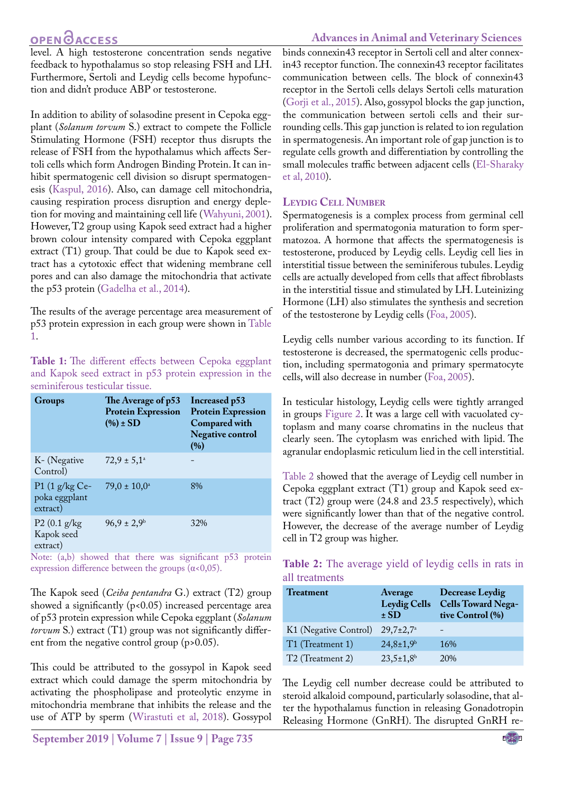# **OPEN**<sub>d</sub>

level. A high testosterone concentration sends negative feedback to hypothalamus so stop releasing FSH and LH. Furthermore, Sertoli and Leydig cells become hypofunction and didn't produce ABP or testosterone.

In addition to ability of solasodine present in Cepoka eggplant (*Solanum torvum* S.) extract to compete the Follicle Stimulating Hormone (FSH) receptor thus disrupts the release of FSH from the hypothalamus which affects Sertoli cells which form Androgen Binding Protein. It can inhibit spermatogenic cell division so disrupt spermatogenesis ([Kaspul, 2016](#page-4-3)). Also, can damage cell mitochondria, causing respiration process disruption and energy depletion for moving and maintaining cell life ([Wahyuni, 2001](#page-5-4)). However, T2 group using Kapok seed extract had a higher brown colour intensity compared with Cepoka eggplant extract (T1) group. That could be due to Kapok seed extract has a cytotoxic effect that widening membrane cell pores and can also damage the mitochondria that activate the p53 protein [\(Gadelha et al., 2014](#page-4-2)).

The results of the average percentage area measurement of p53 protein expression in each group were shown in [Table](#page-3-0) [1](#page-3-0).

<span id="page-3-0"></span>**Table 1:** The different effects between Cepoka eggplant and Kapok seed extract in p53 protein expression in the seminiferous testicular tissue.

| Groups                                       | The Average of p53<br><b>Protein Expression</b><br>$(\%)\pm SD$ | Increased p53<br><b>Protein Expression</b><br><b>Compared with</b><br><b>Negative control</b><br>(%) |
|----------------------------------------------|-----------------------------------------------------------------|------------------------------------------------------------------------------------------------------|
| K- (Negative<br>Control)                     | $72.9 \pm 5.1^{\circ}$                                          |                                                                                                      |
| P1 $(1 g/kg Ce$<br>poka eggplant<br>extract) | $79.0 \pm 10.0^{\circ}$                                         | 8%                                                                                                   |
| $P2(0.1)$ g/kg<br>Kapok seed<br>extract)     | $96.9 \pm 2.9^{\rm b}$                                          | 32%                                                                                                  |

Note: (a,b) showed that there was significant p53 protein expression difference between the groups  $(\alpha < 0, 05)$ .

The Kapok seed (*Ceiba pentandra* G.) extract (T2) group showed a significantly  $(p<0.05)$  increased percentage area of p53 protein expression while Cepoka eggplant (*Solanum torvum* S.) extract (T1) group was not significantly different from the negative control group (p>0.05).

This could be attributed to the gossypol in Kapok seed extract which could damage the sperm mitochondria by activating the phospholipase and proteolytic enzyme in mitochondria membrane that inhibits the release and the use of ATP by sperm ([Wirastuti et al, 2018\)](#page-5-0). Gossypol

### **Advances in Animal and Veterinary Sciences**

binds connexin43 receptor in Sertoli cell and alter connexin43 receptor function. The connexin43 receptor facilitates communication between cells. The block of connexin43 receptor in the Sertoli cells delays Sertoli cells maturation ([Gorji et al., 2015](#page-4-4)). Also, gossypol blocks the gap junction, the communication between sertoli cells and their surrounding cells. This gap junction is related to ion regulation in spermatogenesis. An important role of gap junction is to regulate cells growth and differentiation by controlling the small molecules traffic between adjacent cells [\(El-Sharaky](#page-4-5)  [et al, 2010](#page-4-5)).

### **Leydig Cell Number**

Spermatogenesis is a complex process from germinal cell proliferation and spermatogonia maturation to form spermatozoa. A hormone that affects the spermatogenesis is testosterone, produced by Leydig cells. Leydig cell lies in interstitial tissue between the seminiferous tubules. Leydig cells are actually developed from cells that affect fibroblasts in the interstitial tissue and stimulated by LH. Luteinizing Hormone (LH) also stimulates the synthesis and secretion of the testosterone by Leydig cells [\(Foa, 2005](#page-4-6)).

Leydig cells number various according to its function. If testosterone is decreased, the spermatogenic cells production, including spermatogonia and primary spermatocyte cells, will also decrease in number [\(Foa, 2005](#page-4-6)).

In testicular histology, Leydig cells were tightly arranged in groups [Figure 2.](#page-2-1) It was a large cell with vacuolated cytoplasm and many coarse chromatins in the nucleus that clearly seen. The cytoplasm was enriched with lipid. The agranular endoplasmic reticulum lied in the cell interstitial.

[Table 2](#page-3-1) showed that the average of Leydig cell number in Cepoka eggplant extract (T1) group and Kapok seed extract (T2) group were (24.8 and 23.5 respectively), which were significantly lower than that of the negative control. However, the decrease of the average number of Leydig cell in T2 group was higher.

<span id="page-3-1"></span>

| Table 2: The average yield of leydig cells in rats in |  |  |  |  |  |
|-------------------------------------------------------|--|--|--|--|--|
| all treatments                                        |  |  |  |  |  |

| <b>Treatment</b>             | Average<br><b>Leydig Cells</b><br>$\pm$ SD | <b>Decrease Leydig</b><br><b>Cells Toward Nega-</b><br>tive Control (%) |
|------------------------------|--------------------------------------------|-------------------------------------------------------------------------|
| K1 (Negative Control)        | $29.7 \pm 2.7^{\circ}$                     |                                                                         |
| T1 (Treatment 1)             | $24,8 \pm 1,9$ <sup>b</sup>                | 16%                                                                     |
| T <sub>2</sub> (Treatment 2) | $23,5 \pm 1,8$ <sup>b</sup>                | 20%                                                                     |

The Leydig cell number decrease could be attributed to steroid alkaloid compound, particularly solasodine, that alter the hypothalamus function in releasing Gonadotropin Releasing Hormone (GnRH). The disrupted GnRH re-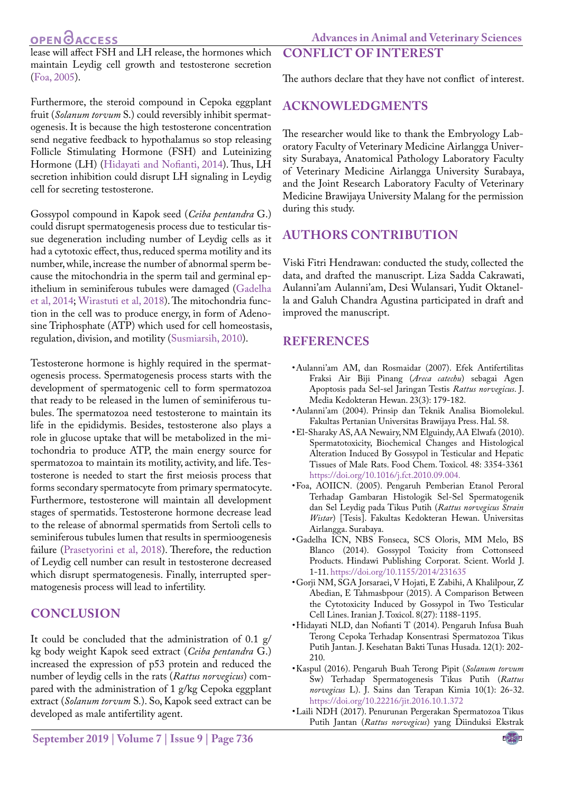# **OPEN GACCESS**

**Advances in Animal and Veterinary Sciences**

lease will affect FSH and LH release, the hormones which maintain Leydig cell growth and testosterone secretion [\(Foa, 2005](#page-4-6)).

Furthermore, the steroid compound in Cepoka eggplant fruit (*Solanum torvum* S.) could reversibly inhibit spermatogenesis. It is because the high testosterone concentration send negative feedback to hypothalamus so stop releasing Follicle Stimulating Hormone (FSH) and Luteinizing Hormone (LH) [\(Hidayati and Nofianti, 2014](#page-4-1)). Thus, LH secretion inhibition could disrupt LH signaling in Leydig cell for secreting testosterone.

Gossypol compound in Kapok seed (*Ceiba pentandra* G.) could disrupt spermatogenesis process due to testicular tissue degeneration including number of Leydig cells as it had a cytotoxic effect, thus, reduced sperma motility and its number, while, increase the number of abnormal sperm because the mitochondria in the sperm tail and germinal epithelium in seminiferous tubules were damaged ([Gadelha](#page-4-2) [et al, 2014;](#page-4-2) [Wirastuti et al, 2018](#page-5-0)). The mitochondria function in the cell was to produce energy, in form of Adenosine Triphosphate (ATP) which used for cell homeostasis, regulation, division, and motility ([Susmiarsih, 2010](#page-5-5)).

Testosterone hormone is highly required in the spermatogenesis process. Spermatogenesis process starts with the development of spermatogenic cell to form spermatozoa that ready to be released in the lumen of seminiferous tubules. The spermatozoa need testosterone to maintain its life in the epididymis. Besides, testosterone also plays a role in glucose uptake that will be metabolized in the mitochondria to produce ATP, the main energy source for spermatozoa to maintain its motility, activity, and life. Testosterone is needed to start the first meiosis process that forms secondary spermatocyte from primary spermatocyte. Furthermore, testosterone will maintain all development stages of spermatids. Testosterone hormone decrease lead to the release of abnormal spermatids from Sertoli cells to seminiferous tubules lumen that results in spermioogenesis failure ([Prasetyorini et al, 2018\)](#page-5-6). Therefore, the reduction of Leydig cell number can result in testosterone decreased which disrupt spermatogenesis. Finally, interrupted spermatogenesis process will lead to infertility.

# **CONCLUSION**

It could be concluded that the administration of 0.1 g/ kg body weight Kapok seed extract (*Ceiba pentandra* G.) increased the expression of p53 protein and reduced the number of leydig cells in the rats (*Rattus norvegicus*) compared with the administration of 1 g/kg Cepoka eggplant extract (*Solanum torvum* S.). So, Kapok seed extract can be developed as male antifertility agent.

The authors declare that they have not conflict of interest.

### **AcknowledgmentS**

**COnflict of interest**

The researcher would like to thank the Embryology Laboratory Faculty of Veterinary Medicine Airlangga University Surabaya, Anatomical Pathology Laboratory Faculty of Veterinary Medicine Airlangga University Surabaya, and the Joint Research Laboratory Faculty of Veterinary Medicine Brawijaya University Malang for the permission during this study.

### **Authors Contribution**

Viski Fitri Hendrawan: conducted the study, collected the data, and drafted the manuscript. Liza Sadda Cakrawati, Aulanni'am Aulanni'am, Desi Wulansari, Yudit Oktanella and Galuh Chandra Agustina participated in draft and improved the manuscript.

### **REFERENCEs**

- • Aulanni'am AM, dan Rosmaidar (2007). Efek Antifertilitas Fraksi Air Biji Pinang (*Areca catechu*) sebagai Agen Apoptosis pada Sel-sel Jaringan Testis *Rattus norvegicus*. J. Media Kedokteran Hewan. 23(3): 179-182.
- • Aulanni'am (2004). Prinsip dan Teknik Analisa Biomolekul. Fakultas Pertanian Universitas Brawijaya Press. Hal. 58.
- <span id="page-4-5"></span>• El-Sharaky AS, AA Newairy, NM Elguindy, AA Elwafa (2010). Spermatotoxicity, Biochemical Changes and Histological Alteration Induced By Gossypol in Testicular and Hepatic Tissues of Male Rats. Food Chem. Toxicol. 48: 3354-3361 [https://doi.org/10.1016/j.fct.2010.09.004.](https://doi.org/10.1016/j.fct.2010.09.004. )
- <span id="page-4-6"></span>• Foa, AOIICN. (2005). Pengaruh Pemberian Etanol Peroral Terhadap Gambaran Histologik Sel-Sel Spermatogenik dan Sel Leydig pada Tikus Putih (*Rattus norvegicus Strain Wistar*) [Tesis]. Fakultas Kedokteran Hewan. Universitas Airlangga. Surabaya.
- <span id="page-4-2"></span>• Gadelha ICN, NBS Fonseca, SCS Oloris, MM Melo, BS Blanco (2014). Gossypol Toxicity from Cottonseed Products. Hindawi Publishing Corporat. Scient. World J. 1-11[. https://doi.org/10.1155/2014/231635]( https://doi.org/10.1155/2014/231635 )
- <span id="page-4-4"></span>• Gorji NM, SGA Jorsaraei, V Hojati, E Zabihi, A Khalilpour, Z Abedian, E Tahmasbpour (2015). A Comparison Between the Cytotoxicity Induced by Gossypol in Two Testicular Cell Lines. Iranian J. Toxicol. 8(27): 1188-1195.
- <span id="page-4-1"></span>• Hidayati NLD, dan Nofianti T (2014). Pengaruh Infusa Buah Terong Cepoka Terhadap Konsentrasi Spermatozoa Tikus Putih Jantan. J. Kesehatan Bakti Tunas Husada. 12(1): 202- 210.
- <span id="page-4-3"></span>• Kaspul (2016). Pengaruh Buah Terong Pipit (*Solanum torvum* Sw) Terhadap Spermatogenesis Tikus Putih (*Rattus norvegicus* L). J. Sains dan Terapan Kimia 10(1): 26-32. [https://doi.org/10.22216/jit.2016.10.1.372](https://doi.org/10.22216/jit.2016.10.1.372 )
- <span id="page-4-0"></span>• Laili NDH (2017). Penurunan Pergerakan Spermatozoa Tikus Putih Jantan (*Rattus norvegicus*) yang Diinduksi Ekstrak